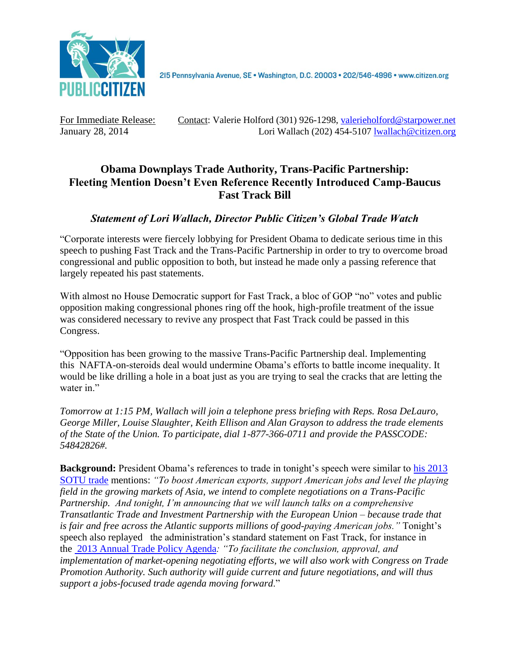

215 Pennsylvania Avenue, SE · Washington, D.C. 20003 · 202/546-4996 · www.citizen.org

For Immediate Release: Contact: Valerie Holford (301) 926-1298, [valerieholford@starpower.net](mailto:valerieholford@starpower.net) January 28, 2014 Lori Wallach (202) 454-5107 [lwallach@citizen.org](mailto:lwallach@citizen.org)

## **Obama Downplays Trade Authority, Trans-Pacific Partnership: Fleeting Mention Doesn't Even Reference Recently Introduced Camp-Baucus Fast Track Bill**

## *Statement of Lori Wallach, Director Public Citizen's Global Trade Watch*

"Corporate interests were fiercely lobbying for President Obama to dedicate serious time in this speech to pushing Fast Track and the Trans-Pacific Partnership in order to try to overcome broad congressional and public opposition to both, but instead he made only a passing reference that largely repeated his past statements.

With almost no House Democratic support for Fast Track, a bloc of GOP "no" votes and public opposition making congressional phones ring off the hook, high-profile treatment of the issue was considered necessary to revive any prospect that Fast Track could be passed in this Congress.

"Opposition has been growing to the massive Trans-Pacific Partnership deal. Implementing this NAFTA-on-steroids deal would undermine Obama's efforts to battle income inequality. It would be like drilling a hole in a boat just as you are trying to seal the cracks that are letting the water in."

*Tomorrow at 1:15 PM, Wallach will join a telephone press briefing with Reps. Rosa DeLauro, George Miller, Louise Slaughter, Keith Ellison and Alan Grayson to address the trade elements of the State of the Union. To participate, dial 1-877-366-0711 and provide the PASSCODE: 54842826#.*

**Background:** President Obama's references to trade in tonight's speech were similar to [his 2013](http://www.whitehouse.gov/the-press-office/2013/02/12/remarks-president-state-union-address)  [SOTU trade](http://www.whitehouse.gov/the-press-office/2013/02/12/remarks-president-state-union-address) mentions: *"To boost American exports, support American jobs and level the playing field in the growing markets of Asia, we intend to complete negotiations on a Trans-Pacific Partnership. And tonight, I'm announcing that we will launch talks on a comprehensive Transatlantic Trade and Investment Partnership with the European Union – because trade that is fair and free across the Atlantic supports millions of good-paying American jobs."* Tonight's speech also replayed the administration's standard statement on Fast Track, for instance in the [2013 Annual Trade Policy Agenda](http://www.ustr.gov/sites/default/files/AnnualReport%20Final2013.pdf)*: "To facilitate the conclusion, approval, and implementation of market-opening negotiating efforts, we will also work with Congress on Trade Promotion Authority. Such authority will guide current and future negotiations, and will thus support a jobs-focused trade agenda moving forward*."